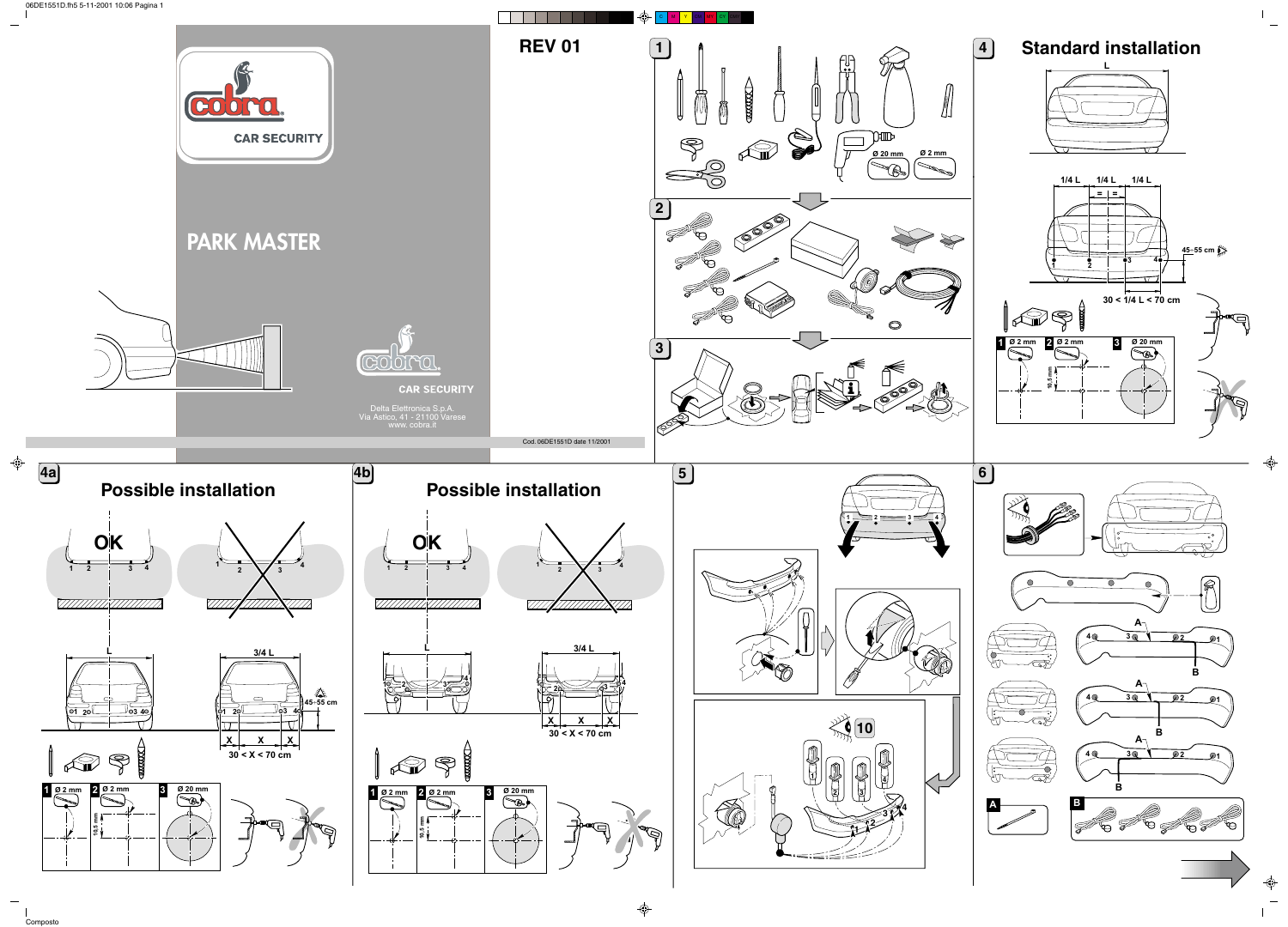

Composto